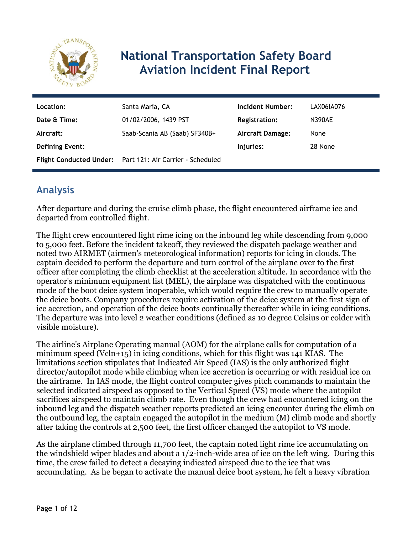

# **National Transportation Safety Board Aviation Incident Final Report**

| Location:              | Santa Maria, CA                                           | Incident Number:        | LAX06IA076    |
|------------------------|-----------------------------------------------------------|-------------------------|---------------|
| Date & Time:           | 01/02/2006, 1439 PST                                      | <b>Registration:</b>    | <b>N390AE</b> |
| Aircraft:              | Saab-Scania AB (Saab) SF340B+                             | <b>Aircraft Damage:</b> | None          |
| <b>Defining Event:</b> |                                                           | Injuries:               | 28 None       |
|                        | Flight Conducted Under: Part 121: Air Carrier - Scheduled |                         |               |

# **Analysis**

After departure and during the cruise climb phase, the flight encountered airframe ice and departed from controlled flight.

The flight crew encountered light rime icing on the inbound leg while descending from 9,000 to 5,000 feet. Before the incident takeoff, they reviewed the dispatch package weather and noted two AIRMET (airmen's meteorological information) reports for icing in clouds. The captain decided to perform the departure and turn control of the airplane over to the first officer after completing the climb checklist at the acceleration altitude. In accordance with the operator's minimum equipment list (MEL), the airplane was dispatched with the continuous mode of the boot deice system inoperable, which would require the crew to manually operate the deice boots. Company procedures require activation of the deice system at the first sign of ice accretion, and operation of the deice boots continually thereafter while in icing conditions. The departure was into level 2 weather conditions (defined as 10 degree Celsius or colder with visible moisture).

The airline's Airplane Operating manual (AOM) for the airplane calls for computation of a minimum speed (Vcln+15) in icing conditions, which for this flight was 141 KIAS. The limitations section stipulates that Indicated Air Speed (IAS) is the only authorized flight director/autopilot mode while climbing when ice accretion is occurring or with residual ice on the airframe. In IAS mode, the flight control computer gives pitch commands to maintain the selected indicated airspeed as opposed to the Vertical Speed (VS) mode where the autopilot sacrifices airspeed to maintain climb rate. Even though the crew had encountered icing on the inbound leg and the dispatch weather reports predicted an icing encounter during the climb on the outbound leg, the captain engaged the autopilot in the medium (M) climb mode and shortly after taking the controls at 2,500 feet, the first officer changed the autopilot to VS mode.

As the airplane climbed through 11,700 feet, the captain noted light rime ice accumulating on the windshield wiper blades and about a 1/2-inch-wide area of ice on the left wing. During this time, the crew failed to detect a decaying indicated airspeed due to the ice that was accumulating. As he began to activate the manual deice boot system, he felt a heavy vibration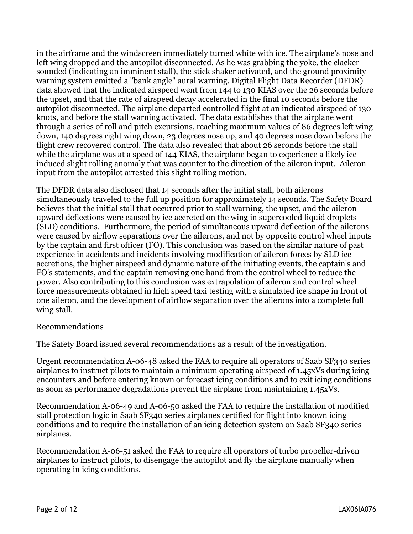in the airframe and the windscreen immediately turned white with ice. The airplane's nose and left wing dropped and the autopilot disconnected. As he was grabbing the yoke, the clacker sounded (indicating an imminent stall), the stick shaker activated, and the ground proximity warning system emitted a "bank angle" aural warning. Digital Flight Data Recorder (DFDR) data showed that the indicated airspeed went from 144 to 130 KIAS over the 26 seconds before the upset, and that the rate of airspeed decay accelerated in the final 10 seconds before the autopilot disconnected. The airplane departed controlled flight at an indicated airspeed of 130 knots, and before the stall warning activated. The data establishes that the airplane went through a series of roll and pitch excursions, reaching maximum values of 86 degrees left wing down, 140 degrees right wing down, 23 degrees nose up, and 40 degrees nose down before the flight crew recovered control. The data also revealed that about 26 seconds before the stall while the airplane was at a speed of 144 KIAS, the airplane began to experience a likely iceinduced slight rolling anomaly that was counter to the direction of the aileron input. Aileron input from the autopilot arrested this slight rolling motion.

The DFDR data also disclosed that 14 seconds after the initial stall, both ailerons simultaneously traveled to the full up position for approximately 14 seconds. The Safety Board believes that the initial stall that occurred prior to stall warning, the upset, and the aileron upward deflections were caused by ice accreted on the wing in supercooled liquid droplets (SLD) conditions. Furthermore, the period of simultaneous upward deflection of the ailerons were caused by airflow separations over the ailerons, and not by opposite control wheel inputs by the captain and first officer (FO). This conclusion was based on the similar nature of past experience in accidents and incidents involving modification of aileron forces by SLD ice accretions, the higher airspeed and dynamic nature of the initiating events, the captain's and FO's statements, and the captain removing one hand from the control wheel to reduce the power. Also contributing to this conclusion was extrapolation of aileron and control wheel force measurements obtained in high speed taxi testing with a simulated ice shape in front of one aileron, and the development of airflow separation over the ailerons into a complete full wing stall.

#### Recommendations

The Safety Board issued several recommendations as a result of the investigation.

Urgent recommendation A-06-48 asked the FAA to require all operators of Saab SF340 series airplanes to instruct pilots to maintain a minimum operating airspeed of 1.45xVs during icing encounters and before entering known or forecast icing conditions and to exit icing conditions as soon as performance degradations prevent the airplane from maintaining 1.45xVs.

Recommendation A-06-49 and A-06-50 asked the FAA to require the installation of modified stall protection logic in Saab SF340 series airplanes certified for flight into known icing conditions and to require the installation of an icing detection system on Saab SF340 series airplanes.

Recommendation A-06-51 asked the FAA to require all operators of turbo propeller-driven airplanes to instruct pilots, to disengage the autopilot and fly the airplane manually when operating in icing conditions.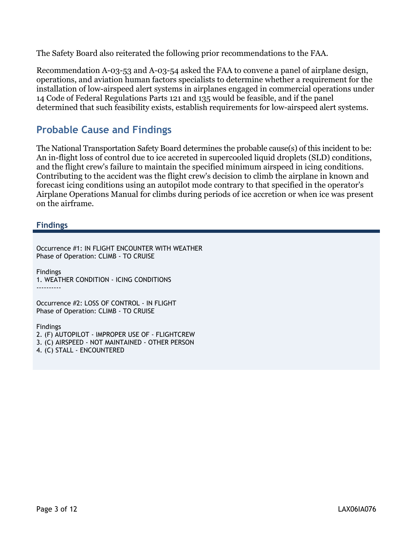The Safety Board also reiterated the following prior recommendations to the FAA.

Recommendation A-03-53 and A-03-54 asked the FAA to convene a panel of airplane design, operations, and aviation human factors specialists to determine whether a requirement for the installation of low-airspeed alert systems in airplanes engaged in commercial operations under 14 Code of Federal Regulations Parts 121 and 135 would be feasible, and if the panel determined that such feasibility exists, establish requirements for low-airspeed alert systems.

# **Probable Cause and Findings**

The National Transportation Safety Board determines the probable cause(s) of this incident to be: An in-flight loss of control due to ice accreted in supercooled liquid droplets (SLD) conditions, and the flight crew's failure to maintain the specified minimum airspeed in icing conditions. Contributing to the accident was the flight crew's decision to climb the airplane in known and forecast icing conditions using an autopilot mode contrary to that specified in the operator's Airplane Operations Manual for climbs during periods of ice accretion or when ice was present on the airframe.

**Findings**

Occurrence #1: IN FLIGHT ENCOUNTER WITH WEATHER Phase of Operation: CLIMB - TO CRUISE

Findings 1. WEATHER CONDITION - ICING CONDITIONS ----------

Occurrence #2: LOSS OF CONTROL - IN FLIGHT Phase of Operation: CLIMB - TO CRUISE

Findings

2. (F) AUTOPILOT - IMPROPER USE OF - FLIGHTCREW

3. (C) AIRSPEED - NOT MAINTAINED - OTHER PERSON

4. (C) STALL - ENCOUNTERED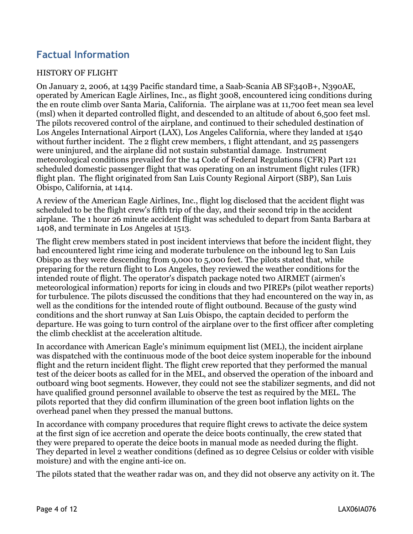# **Factual Information**

#### HISTORY OF FLIGHT

On January 2, 2006, at 1439 Pacific standard time, a Saab-Scania AB SF340B+, N390AE, operated by American Eagle Airlines, Inc., as flight 3008, encountered icing conditions during the en route climb over Santa Maria, California. The airplane was at 11,700 feet mean sea level (msl) when it departed controlled flight, and descended to an altitude of about 6,500 feet msl. The pilots recovered control of the airplane, and continued to their scheduled destination of Los Angeles International Airport (LAX), Los Angeles California, where they landed at 1540 without further incident. The 2 flight crew members, 1 flight attendant, and 25 passengers were uninjured, and the airplane did not sustain substantial damage. Instrument meteorological conditions prevailed for the 14 Code of Federal Regulations (CFR) Part 121 scheduled domestic passenger flight that was operating on an instrument flight rules (IFR) flight plan. The flight originated from San Luis County Regional Airport (SBP), San Luis Obispo, California, at 1414.

A review of the American Eagle Airlines, Inc., flight log disclosed that the accident flight was scheduled to be the flight crew's fifth trip of the day, and their second trip in the accident airplane. The 1 hour 26 minute accident flight was scheduled to depart from Santa Barbara at 1408, and terminate in Los Angeles at 1513.

The flight crew members stated in post incident interviews that before the incident flight, they had encountered light rime icing and moderate turbulence on the inbound leg to San Luis Obispo as they were descending from 9,000 to 5,000 feet. The pilots stated that, while preparing for the return flight to Los Angeles, they reviewed the weather conditions for the intended route of flight. The operator's dispatch package noted two AIRMET (airmen's meteorological information) reports for icing in clouds and two PIREPs (pilot weather reports) for turbulence. The pilots discussed the conditions that they had encountered on the way in, as well as the conditions for the intended route of flight outbound. Because of the gusty wind conditions and the short runway at San Luis Obispo, the captain decided to perform the departure. He was going to turn control of the airplane over to the first officer after completing the climb checklist at the acceleration altitude.

In accordance with American Eagle's minimum equipment list (MEL), the incident airplane was dispatched with the continuous mode of the boot deice system inoperable for the inbound flight and the return incident flight. The flight crew reported that they performed the manual test of the deicer boots as called for in the MEL, and observed the operation of the inboard and outboard wing boot segments. However, they could not see the stabilizer segments, and did not have qualified ground personnel available to observe the test as required by the MEL. The pilots reported that they did confirm illumination of the green boot inflation lights on the overhead panel when they pressed the manual buttons.

In accordance with company procedures that require flight crews to activate the deice system at the first sign of ice accretion and operate the deice boots continually, the crew stated that they were prepared to operate the deice boots in manual mode as needed during the flight. They departed in level 2 weather conditions (defined as 10 degree Celsius or colder with visible moisture) and with the engine anti-ice on.

The pilots stated that the weather radar was on, and they did not observe any activity on it. The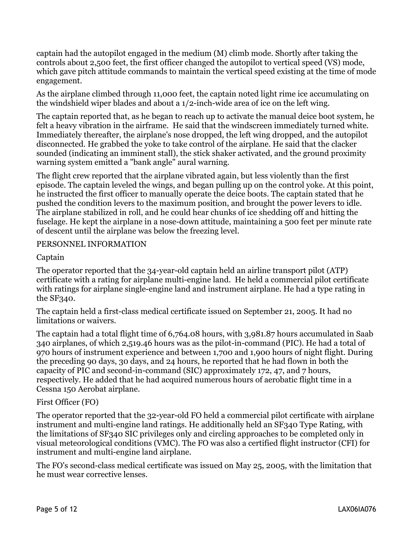captain had the autopilot engaged in the medium (M) climb mode. Shortly after taking the controls about 2,500 feet, the first officer changed the autopilot to vertical speed (VS) mode, which gave pitch attitude commands to maintain the vertical speed existing at the time of mode engagement.

As the airplane climbed through 11,000 feet, the captain noted light rime ice accumulating on the windshield wiper blades and about a 1/2-inch-wide area of ice on the left wing.

The captain reported that, as he began to reach up to activate the manual deice boot system, he felt a heavy vibration in the airframe. He said that the windscreen immediately turned white. Immediately thereafter, the airplane's nose dropped, the left wing dropped, and the autopilot disconnected. He grabbed the yoke to take control of the airplane. He said that the clacker sounded (indicating an imminent stall), the stick shaker activated, and the ground proximity warning system emitted a "bank angle" aural warning.

The flight crew reported that the airplane vibrated again, but less violently than the first episode. The captain leveled the wings, and began pulling up on the control yoke. At this point, he instructed the first officer to manually operate the deice boots. The captain stated that he pushed the condition levers to the maximum position, and brought the power levers to idle. The airplane stabilized in roll, and he could hear chunks of ice shedding off and hitting the fuselage. He kept the airplane in a nose-down attitude, maintaining a 500 feet per minute rate of descent until the airplane was below the freezing level.

#### PERSONNEL INFORMATION

#### Captain

The operator reported that the 34-year-old captain held an airline transport pilot (ATP) certificate with a rating for airplane multi-engine land. He held a commercial pilot certificate with ratings for airplane single-engine land and instrument airplane. He had a type rating in the SF340.

The captain held a first-class medical certificate issued on September 21, 2005. It had no limitations or waivers.

The captain had a total flight time of 6,764.08 hours, with 3,981.87 hours accumulated in Saab 340 airplanes, of which 2,519.46 hours was as the pilot-in-command (PIC). He had a total of 970 hours of instrument experience and between 1,700 and 1,900 hours of night flight. During the preceding 90 days, 30 days, and 24 hours, he reported that he had flown in both the capacity of PIC and second-in-command (SIC) approximately 172, 47, and 7 hours, respectively. He added that he had acquired numerous hours of aerobatic flight time in a Cessna 150 Aerobat airplane.

#### First Officer (FO)

The operator reported that the 32-year-old FO held a commercial pilot certificate with airplane instrument and multi-engine land ratings. He additionally held an SF340 Type Rating, with the limitations of SF340 SIC privileges only and circling approaches to be completed only in visual meteorological conditions (VMC). The FO was also a certified flight instructor (CFI) for instrument and multi-engine land airplane.

The FO's second-class medical certificate was issued on May 25, 2005, with the limitation that he must wear corrective lenses.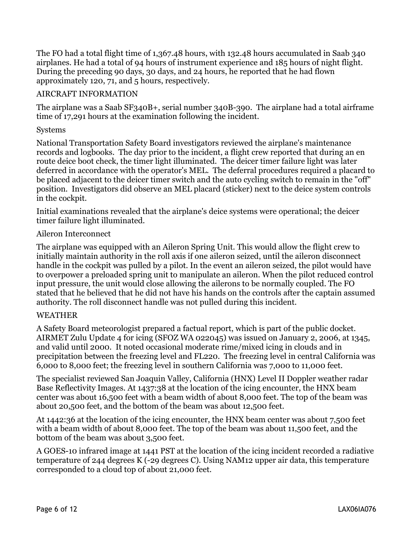The FO had a total flight time of 1,367.48 hours, with 132.48 hours accumulated in Saab 340 airplanes. He had a total of 94 hours of instrument experience and 185 hours of night flight. During the preceding 90 days, 30 days, and 24 hours, he reported that he had flown approximately 120, 71, and 5 hours, respectively.

#### AIRCRAFT INFORMATION

The airplane was a Saab SF340B+, serial number 340B-390. The airplane had a total airframe time of 17,291 hours at the examination following the incident.

#### Systems

National Transportation Safety Board investigators reviewed the airplane's maintenance records and logbooks. The day prior to the incident, a flight crew reported that during an en route deice boot check, the timer light illuminated. The deicer timer failure light was later deferred in accordance with the operator's MEL. The deferral procedures required a placard to be placed adjacent to the deicer timer switch and the auto cycling switch to remain in the "off" position. Investigators did observe an MEL placard (sticker) next to the deice system controls in the cockpit.

Initial examinations revealed that the airplane's deice systems were operational; the deicer timer failure light illuminated.

#### Aileron Interconnect

The airplane was equipped with an Aileron Spring Unit. This would allow the flight crew to initially maintain authority in the roll axis if one aileron seized, until the aileron disconnect handle in the cockpit was pulled by a pilot. In the event an aileron seized, the pilot would have to overpower a preloaded spring unit to manipulate an aileron. When the pilot reduced control input pressure, the unit would close allowing the ailerons to be normally coupled. The FO stated that he believed that he did not have his hands on the controls after the captain assumed authority. The roll disconnect handle was not pulled during this incident.

#### WEATHER

A Safety Board meteorologist prepared a factual report, which is part of the public docket. AIRMET Zulu Update 4 for icing (SFOZ WA 022045) was issued on January 2, 2006, at 1345, and valid until 2000. It noted occasional moderate rime/mixed icing in clouds and in precipitation between the freezing level and FL220. The freezing level in central California was 6,000 to 8,000 feet; the freezing level in southern California was 7,000 to 11,000 feet.

The specialist reviewed San Joaquin Valley, California (HNX) Level II Doppler weather radar Base Reflectivity Images. At 1437:38 at the location of the icing encounter, the HNX beam center was about 16,500 feet with a beam width of about 8,000 feet. The top of the beam was about 20,500 feet, and the bottom of the beam was about 12,500 feet.

At 1442:36 at the location of the icing encounter, the HNX beam center was about 7,500 feet with a beam width of about 8,000 feet. The top of the beam was about 11,500 feet, and the bottom of the beam was about 3,500 feet.

A GOES-10 infrared image at 1441 PST at the location of the icing incident recorded a radiative temperature of 244 degrees K (-29 degrees C). Using NAM12 upper air data, this temperature corresponded to a cloud top of about 21,000 feet.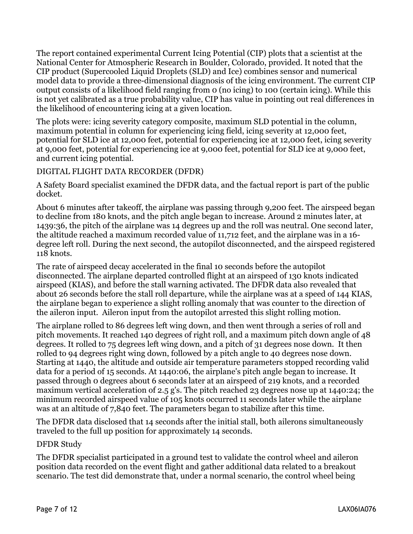The report contained experimental Current Icing Potential (CIP) plots that a scientist at the National Center for Atmospheric Research in Boulder, Colorado, provided. It noted that the CIP product (Supercooled Liquid Droplets (SLD) and Ice) combines sensor and numerical model data to provide a three-dimensional diagnosis of the icing environment. The current CIP output consists of a likelihood field ranging from 0 (no icing) to 100 (certain icing). While this is not yet calibrated as a true probability value, CIP has value in pointing out real differences in the likelihood of encountering icing at a given location.

The plots were: icing severity category composite, maximum SLD potential in the column, maximum potential in column for experiencing icing field, icing severity at 12,000 feet, potential for SLD ice at 12,000 feet, potential for experiencing ice at 12,000 feet, icing severity at 9,000 feet, potential for experiencing ice at 9,000 feet, potential for SLD ice at 9,000 feet, and current icing potential.

#### DIGITAL FLIGHT DATA RECORDER (DFDR)

A Safety Board specialist examined the DFDR data, and the factual report is part of the public docket.

About 6 minutes after takeoff, the airplane was passing through 9,200 feet. The airspeed began to decline from 180 knots, and the pitch angle began to increase. Around 2 minutes later, at 1439:36, the pitch of the airplane was 14 degrees up and the roll was neutral. One second later, the altitude reached a maximum recorded value of 11,712 feet, and the airplane was in a 16 degree left roll. During the next second, the autopilot disconnected, and the airspeed registered 118 knots.

The rate of airspeed decay accelerated in the final 10 seconds before the autopilot disconnected. The airplane departed controlled flight at an airspeed of 130 knots indicated airspeed (KIAS), and before the stall warning activated. The DFDR data also revealed that about 26 seconds before the stall roll departure, while the airplane was at a speed of 144 KIAS, the airplane began to experience a slight rolling anomaly that was counter to the direction of the aileron input. Aileron input from the autopilot arrested this slight rolling motion.

The airplane rolled to 86 degrees left wing down, and then went through a series of roll and pitch movements. It reached 140 degrees of right roll, and a maximum pitch down angle of 48 degrees. It rolled to 75 degrees left wing down, and a pitch of 31 degrees nose down. It then rolled to 94 degrees right wing down, followed by a pitch angle to 40 degrees nose down. Starting at 1440, the altitude and outside air temperature parameters stopped recording valid data for a period of 15 seconds. At 1440:06, the airplane's pitch angle began to increase. It passed through 0 degrees about 6 seconds later at an airspeed of 219 knots, and a recorded maximum vertical acceleration of 2.5 g's. The pitch reached 23 degrees nose up at 1440:24; the minimum recorded airspeed value of 105 knots occurred 11 seconds later while the airplane was at an altitude of 7,840 feet. The parameters began to stabilize after this time.

The DFDR data disclosed that 14 seconds after the initial stall, both ailerons simultaneously traveled to the full up position for approximately 14 seconds.

#### DFDR Study

The DFDR specialist participated in a ground test to validate the control wheel and aileron position data recorded on the event flight and gather additional data related to a breakout scenario. The test did demonstrate that, under a normal scenario, the control wheel being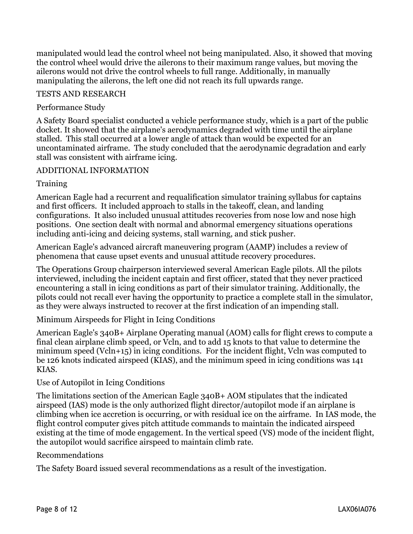manipulated would lead the control wheel not being manipulated. Also, it showed that moving the control wheel would drive the ailerons to their maximum range values, but moving the ailerons would not drive the control wheels to full range. Additionally, in manually manipulating the ailerons, the left one did not reach its full upwards range.

#### TESTS AND RESEARCH

#### Performance Study

A Safety Board specialist conducted a vehicle performance study, which is a part of the public docket. It showed that the airplane's aerodynamics degraded with time until the airplane stalled. This stall occurred at a lower angle of attack than would be expected for an uncontaminated airframe. The study concluded that the aerodynamic degradation and early stall was consistent with airframe icing.

#### ADDITIONAL INFORMATION

#### **Training**

American Eagle had a recurrent and requalification simulator training syllabus for captains and first officers. It included approach to stalls in the takeoff, clean, and landing configurations. It also included unusual attitudes recoveries from nose low and nose high positions. One section dealt with normal and abnormal emergency situations operations including anti-icing and deicing systems, stall warning, and stick pusher.

American Eagle's advanced aircraft maneuvering program (AAMP) includes a review of phenomena that cause upset events and unusual attitude recovery procedures.

The Operations Group chairperson interviewed several American Eagle pilots. All the pilots interviewed, including the incident captain and first officer, stated that they never practiced encountering a stall in icing conditions as part of their simulator training. Additionally, the pilots could not recall ever having the opportunity to practice a complete stall in the simulator, as they were always instructed to recover at the first indication of an impending stall.

Minimum Airspeeds for Flight in Icing Conditions

American Eagle's 340B+ Airplane Operating manual (AOM) calls for flight crews to compute a final clean airplane climb speed, or Vcln, and to add 15 knots to that value to determine the minimum speed (Vcln+15) in icing conditions. For the incident flight, Vcln was computed to be 126 knots indicated airspeed (KIAS), and the minimum speed in icing conditions was 141 KIAS.

#### Use of Autopilot in Icing Conditions

The limitations section of the American Eagle 340B+ AOM stipulates that the indicated airspeed (IAS) mode is the only authorized flight director/autopilot mode if an airplane is climbing when ice accretion is occurring, or with residual ice on the airframe. In IAS mode, the flight control computer gives pitch attitude commands to maintain the indicated airspeed existing at the time of mode engagement. In the vertical speed (VS) mode of the incident flight, the autopilot would sacrifice airspeed to maintain climb rate.

#### Recommendations

The Safety Board issued several recommendations as a result of the investigation.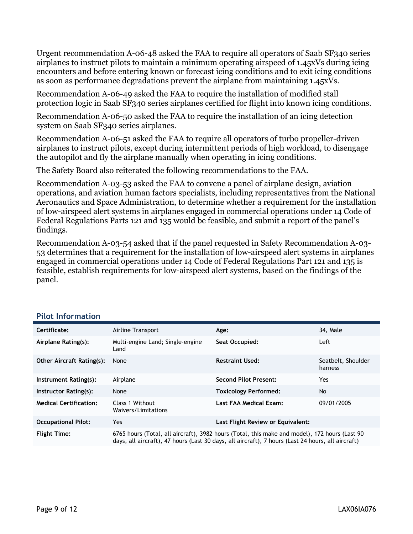Urgent recommendation A-06-48 asked the FAA to require all operators of Saab SF340 series airplanes to instruct pilots to maintain a minimum operating airspeed of 1.45xVs during icing encounters and before entering known or forecast icing conditions and to exit icing conditions as soon as performance degradations prevent the airplane from maintaining 1.45xVs.

Recommendation A-06-49 asked the FAA to require the installation of modified stall protection logic in Saab SF340 series airplanes certified for flight into known icing conditions.

Recommendation A-06-50 asked the FAA to require the installation of an icing detection system on Saab SF340 series airplanes.

Recommendation A-06-51 asked the FAA to require all operators of turbo propeller-driven airplanes to instruct pilots, except during intermittent periods of high workload, to disengage the autopilot and fly the airplane manually when operating in icing conditions.

The Safety Board also reiterated the following recommendations to the FAA.

Recommendation A-03-53 asked the FAA to convene a panel of airplane design, aviation operations, and aviation human factors specialists, including representatives from the National Aeronautics and Space Administration, to determine whether a requirement for the installation of low-airspeed alert systems in airplanes engaged in commercial operations under 14 Code of Federal Regulations Parts 121 and 135 would be feasible, and submit a report of the panel's findings.

Recommendation A-03-54 asked that if the panel requested in Safety Recommendation A-03- 53 determines that a requirement for the installation of low-airspeed alert systems in airplanes engaged in commercial operations under 14 Code of Federal Regulations Part 121 and 135 is feasible, establish requirements for low-airspeed alert systems, based on the findings of the panel.

| Certificate:                     | Airline Transport                                                                                                                                                                                  | Age:                              | 34, Male                      |
|----------------------------------|----------------------------------------------------------------------------------------------------------------------------------------------------------------------------------------------------|-----------------------------------|-------------------------------|
| Airplane Rating(s):              | Multi-engine Land; Single-engine<br>Land                                                                                                                                                           | Seat Occupied:                    | Left                          |
| <b>Other Aircraft Rating(s):</b> | None                                                                                                                                                                                               | <b>Restraint Used:</b>            | Seatbelt, Shoulder<br>harness |
| Instrument Rating(s):            | Airplane                                                                                                                                                                                           | <b>Second Pilot Present:</b>      | Yes.                          |
| Instructor Rating(s):            | None                                                                                                                                                                                               | <b>Toxicology Performed:</b>      | No                            |
| <b>Medical Certification:</b>    | Class 1 Without<br>Waivers/Limitations                                                                                                                                                             | Last FAA Medical Exam:            | 09/01/2005                    |
| <b>Occupational Pilot:</b>       | Yes                                                                                                                                                                                                | Last Flight Review or Equivalent: |                               |
| <b>Flight Time:</b>              | 6765 hours (Total, all aircraft), 3982 hours (Total, this make and model), 172 hours (Last 90<br>days, all aircraft), 47 hours (Last 30 days, all aircraft), 7 hours (Last 24 hours, all aircraft) |                                   |                               |

#### **Pilot Information**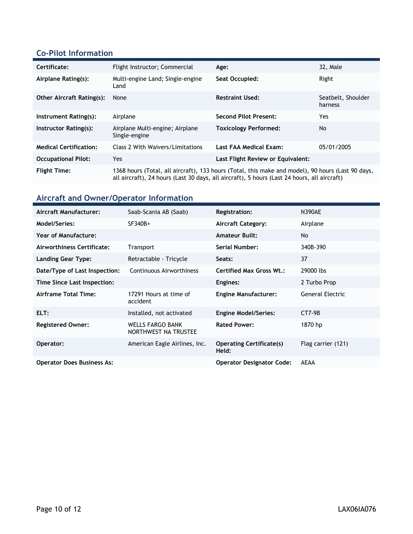### **Co-Pilot Information**

| Certificate:                     | Flight Instructor; Commercial                                                                                                                                                                    | Age:                              | 32, Male                      |
|----------------------------------|--------------------------------------------------------------------------------------------------------------------------------------------------------------------------------------------------|-----------------------------------|-------------------------------|
| Airplane Rating(s):              | Multi-engine Land; Single-engine<br>Land                                                                                                                                                         | Seat Occupied:                    | Right                         |
| <b>Other Aircraft Rating(s):</b> | None                                                                                                                                                                                             | <b>Restraint Used:</b>            | Seatbelt, Shoulder<br>harness |
| Instrument Rating(s):            | Airplane                                                                                                                                                                                         | <b>Second Pilot Present:</b>      | Yes                           |
| Instructor Rating(s):            | Airplane Multi-engine; Airplane<br>Single-engine                                                                                                                                                 | <b>Toxicology Performed:</b>      | <b>No</b>                     |
| <b>Medical Certification:</b>    | Class 2 With Waivers/Limitations                                                                                                                                                                 | Last FAA Medical Exam:            | 05/01/2005                    |
| <b>Occupational Pilot:</b>       | Yes                                                                                                                                                                                              | Last Flight Review or Equivalent: |                               |
| <b>Flight Time:</b>              | 1368 hours (Total, all aircraft), 133 hours (Total, this make and model), 90 hours (Last 90 days,<br>all aircraft), 24 hours (Last 30 days, all aircraft), 5 hours (Last 24 hours, all aircraft) |                                   |                               |

# **Aircraft and Owner/Operator Information**

| Aircraft Manufacturer:            | Saab-Scania AB (Saab)                           | <b>Registration:</b>                     | <b>N390AE</b>      |
|-----------------------------------|-------------------------------------------------|------------------------------------------|--------------------|
| Model/Series:                     | SF340B+                                         | <b>Aircraft Category:</b>                | Airplane           |
| <b>Year of Manufacture:</b>       |                                                 | <b>Amateur Built:</b>                    | No                 |
| Airworthiness Certificate:        | <b>Transport</b>                                | <b>Serial Number:</b>                    | 340B-390           |
| Landing Gear Type:                | Retractable - Tricycle                          | Seats:                                   | 37                 |
| Date/Type of Last Inspection:     | Continuous Airworthiness                        | <b>Certified Max Gross Wt.:</b>          | 29000 lbs          |
| Time Since Last Inspection:       |                                                 | Engines:                                 | 2 Turbo Prop       |
| Airframe Total Time:              | 17291 Hours at time of<br>accident              | <b>Engine Manufacturer:</b>              | General Electric   |
| ELT:                              | Installed, not activated                        | <b>Engine Model/Series:</b>              | $CT7-9B$           |
| <b>Registered Owner:</b>          | <b>WELLS FARGO BANK</b><br>NORTHWEST NA TRUSTEE | <b>Rated Power:</b>                      | 1870 hp            |
| Operator:                         | American Eagle Airlines, Inc.                   | <b>Operating Certificate(s)</b><br>Held: | Flag carrier (121) |
| <b>Operator Does Business As:</b> |                                                 | <b>Operator Designator Code:</b>         | <b>AEAA</b>        |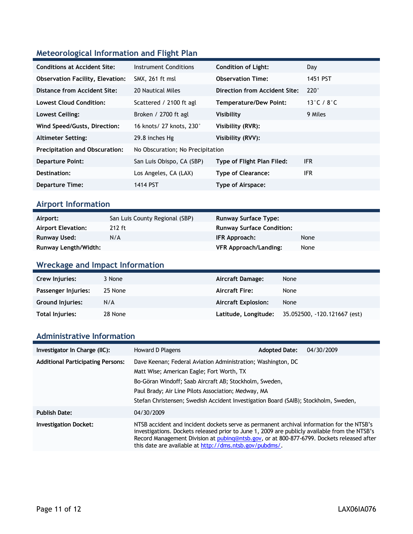## **Meteorological Information and Flight Plan**

| <b>Conditions at Accident Site:</b>     | Instrument Conditions            | <b>Condition of Light:</b>    | Day                              |
|-----------------------------------------|----------------------------------|-------------------------------|----------------------------------|
| <b>Observation Facility, Elevation:</b> | SMX, 261 ft msl                  | <b>Observation Time:</b>      | 1451 PST                         |
| Distance from Accident Site:            | 20 Nautical Miles                | Direction from Accident Site: | $220^\circ$                      |
| <b>Lowest Cloud Condition:</b>          | Scattered / 2100 ft agl          | Temperature/Dew Point:        | 13 $^{\circ}$ C / 8 $^{\circ}$ C |
| Lowest Ceiling:                         | Broken / 2700 ft agl             | Visibility                    | 9 Miles                          |
| Wind Speed/Gusts, Direction:            | 16 knots/ 27 knots, 230°         | Visibility (RVR):             |                                  |
| <b>Altimeter Setting:</b>               | 29.8 inches Hg                   | Visibility (RVV):             |                                  |
| <b>Precipitation and Obscuration:</b>   | No Obscuration; No Precipitation |                               |                                  |
| <b>Departure Point:</b>                 | San Luis Obispo, CA (SBP)        | Type of Flight Plan Filed:    | <b>IFR</b>                       |
| Destination:                            | Los Angeles, CA (LAX)            | <b>Type of Clearance:</b>     | <b>IFR</b>                       |
| <b>Departure Time:</b>                  | 1414 PST                         | Type of Airspace:             |                                  |

### **Airport Information**

| Airport:                    | San Luis County Regional (SBP) | <b>Runway Surface Type:</b>      |      |
|-----------------------------|--------------------------------|----------------------------------|------|
| <b>Airport Elevation:</b>   | $212$ ft                       | <b>Runway Surface Condition:</b> |      |
| Runway Used:                | N/A                            | IFR Approach:                    | None |
| <b>Runway Length/Width:</b> |                                | <b>VFR Approach/Landing:</b>     | None |

## **Wreckage and Impact Information**

| Crew Injuries:          | 3 None  | Aircraft Damage:           | None                         |
|-------------------------|---------|----------------------------|------------------------------|
| Passenger Injuries:     | 25 None | <b>Aircraft Fire:</b>      | None                         |
| <b>Ground Injuries:</b> | N/A     | <b>Aircraft Explosion:</b> | None                         |
| Total Injuries:         | 28 None | Latitude, Longitude;       | 35.052500, -120.121667 (est) |

### **Administrative Information**

| Investigator In Charge (IIC):            | Howard D Plagens                                                                                                                                                                                                                                                                                                                                   | <b>Adopted Date:</b> | 04/30/2009 |
|------------------------------------------|----------------------------------------------------------------------------------------------------------------------------------------------------------------------------------------------------------------------------------------------------------------------------------------------------------------------------------------------------|----------------------|------------|
| <b>Additional Participating Persons:</b> | Dave Keenan; Federal Aviation Administration; Washington, DC<br>Matt Wise; American Eagle; Fort Worth, TX<br>Bo-Göran Windoff; Saab Aircraft AB; Stockholm, Sweden,<br>Paul Brady; Air Line Pilots Association; Medway, MA<br>Stefan Christensen; Swedish Accident Investigation Board (SAIB); Stockholm, Sweden,                                  |                      |            |
| <b>Publish Date:</b>                     | 04/30/2009                                                                                                                                                                                                                                                                                                                                         |                      |            |
| <b>Investigation Docket:</b>             | NTSB accident and incident dockets serve as permanent archival information for the NTSB's<br>investigations. Dockets released prior to June 1, 2009 are publicly available from the NTSB's<br>Record Management Division at pubing@ntsb.gov, or at 800-877-6799. Dockets released after<br>this date are available at http://dms.ntsb.gov/pubdms/. |                      |            |